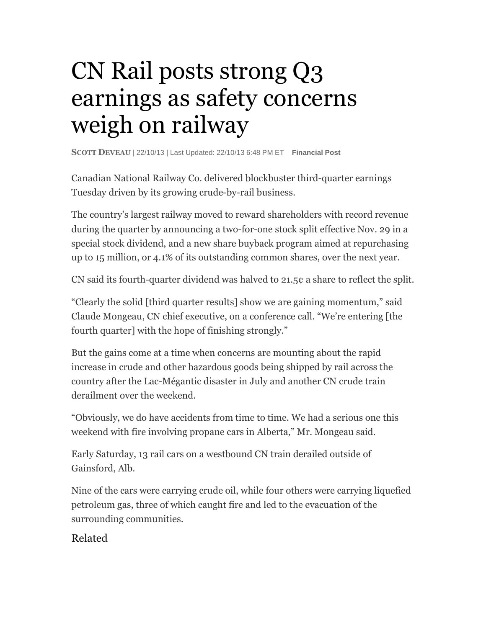## CN Rail posts strong Q3 earnings as safety concerns weigh on railway

**SCOTT DEVEAU** | 22/10/13 | Last Updated: 22/10/13 6:48 PM ET **Financial Post**

Canadian National Railway Co. delivered blockbuster third-quarter earnings Tuesday driven by its growing crude-by-rail business.

The country's largest railway moved to reward shareholders with record revenue during the quarter by announcing a two-for-one stock split effective Nov. 29 in a special stock dividend, and a new share buyback program aimed at repurchasing up to 15 million, or 4.1% of its outstanding common shares, over the next year.

CN said its fourth-quarter dividend was halved to 21.5¢ a share to reflect the split.

"Clearly the solid [third quarter results] show we are gaining momentum," said Claude Mongeau, CN chief executive, on a conference call. "We're entering [the fourth quarter] with the hope of finishing strongly."

But the gains come at a time when concerns are mounting about the rapid increase in crude and other hazardous goods being shipped by rail across the country after the Lac-Mégantic disaster in July and another CN crude train derailment over the weekend.

"Obviously, we do have accidents from time to time. We had a serious one this weekend with fire involving propane cars in Alberta," Mr. Mongeau said.

Early Saturday, 13 rail cars on a westbound CN train derailed outside of Gainsford, Alb.

Nine of the cars were carrying crude oil, while four others were carrying liquefied petroleum gas, three of which caught fire and led to the evacuation of the surrounding communities.

## Related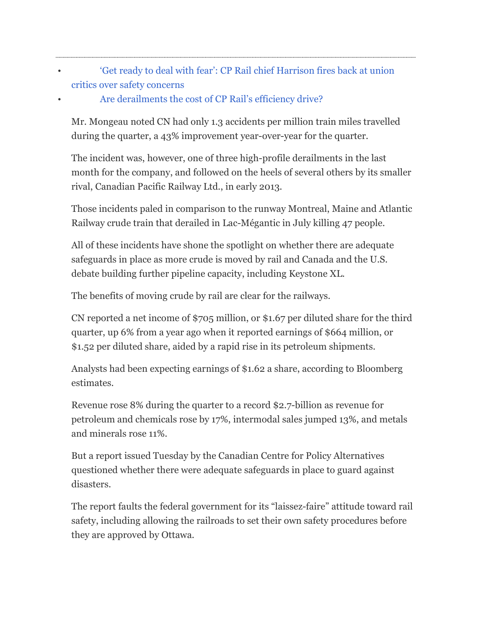- 'Get ready to deal with fear': CP Rail chief Harrison fires back at union critics over safety concerns
- Are derailments the cost of CP Rail's efficiency drive?

Mr. Mongeau noted CN had only 1.3 accidents per million train miles travelled during the quarter, a 43% improvement year-over-year for the quarter.

The incident was, however, one of three high-profile derailments in the last month for the company, and followed on the heels of several others by its smaller rival, Canadian Pacific Railway Ltd., in early 2013.

Those incidents paled in comparison to the runway Montreal, Maine and Atlantic Railway crude train that derailed in Lac-Mégantic in July killing 47 people.

All of these incidents have shone the spotlight on whether there are adequate safeguards in place as more crude is moved by rail and Canada and the U.S. debate building further pipeline capacity, including Keystone XL.

The benefits of moving crude by rail are clear for the railways.

CN reported a net income of \$705 million, or \$1.67 per diluted share for the third quarter, up 6% from a year ago when it reported earnings of \$664 million, or \$1.52 per diluted share, aided by a rapid rise in its petroleum shipments.

Analysts had been expecting earnings of \$1.62 a share, according to Bloomberg estimates.

Revenue rose 8% during the quarter to a record \$2.7-billion as revenue for petroleum and chemicals rose by 17%, intermodal sales jumped 13%, and metals and minerals rose 11%.

But a report issued Tuesday by the Canadian Centre for Policy Alternatives questioned whether there were adequate safeguards in place to guard against disasters.

The report faults the federal government for its "laissez-faire" attitude toward rail safety, including allowing the railroads to set their own safety procedures before they are approved by Ottawa.